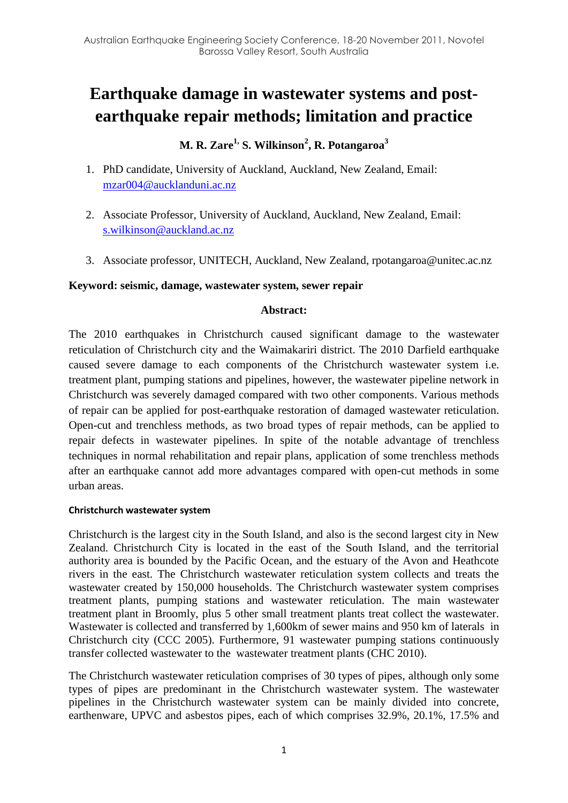# **Earthquake damage in wastewater systems and postearthquake repair methods; limitation and practice**

# **M. R. Zare1, S. Wilkinson<sup>2</sup> , R. Potangaroa<sup>3</sup>**

- 1. PhD candidate, University of Auckland, Auckland, New Zealand, Email: [mzar004@aucklanduni.ac.nz](mailto:mzar004@aucklanduni.ac.nz)
- 2. Associate Professor, University of Auckland, Auckland, New Zealand, Email: [s.wilkinson@auckland.ac.nz](mailto:s.wilkinson@auckland.ac.nz)
- 3. Associate professor, UNITECH, Auckland, New Zealand, rpotangaroa@unitec.ac.nz

#### **Keyword: seismic, damage, wastewater system, sewer repair**

#### **Abstract:**

The 2010 earthquakes in Christchurch caused significant damage to the wastewater reticulation of Christchurch city and the Waimakariri district. The 2010 Darfield earthquake caused severe damage to each components of the Christchurch wastewater system i.e. treatment plant, pumping stations and pipelines, however, the wastewater pipeline network in Christchurch was severely damaged compared with two other components. Various methods of repair can be applied for post-earthquake restoration of damaged wastewater reticulation. Open-cut and trenchless methods, as two broad types of repair methods, can be applied to repair defects in wastewater pipelines. In spite of the notable advantage of trenchless techniques in normal rehabilitation and repair plans, application of some trenchless methods after an earthquake cannot add more advantages compared with open-cut methods in some urban areas.

#### **Christchurch wastewater system**

Christchurch is the largest city in the South Island, and also is the second largest city in New Zealand. Christchurch City is located in the east of the South Island, and the territorial authority area is bounded by the Pacific Ocean, and the estuary of the Avon and Heathcote rivers in the east. The Christchurch wastewater reticulation system collects and treats the wastewater created by 150,000 households. The Christchurch wastewater system comprises treatment plants, pumping stations and wastewater reticulation. The main wastewater treatment plant in Broomly, plus 5 other small treatment plants treat collect the wastewater. Wastewater is collected and transferred by 1,600km of sewer mains and 950 km of laterals in Christchurch city [\(CCC 2005\)](#page-7-0). Furthermore, 91 wastewater pumping stations continuously transfer collected wastewater to the wastewater treatment plants [\(CHC 2010\)](#page-7-1).

The Christchurch wastewater reticulation comprises of 30 types of pipes, although only some types of pipes are predominant in the Christchurch wastewater system. The wastewater pipelines in the Christchurch wastewater system can be mainly divided into concrete, earthenware, UPVC and asbestos pipes, each of which comprises 32.9%, 20.1%, 17.5% and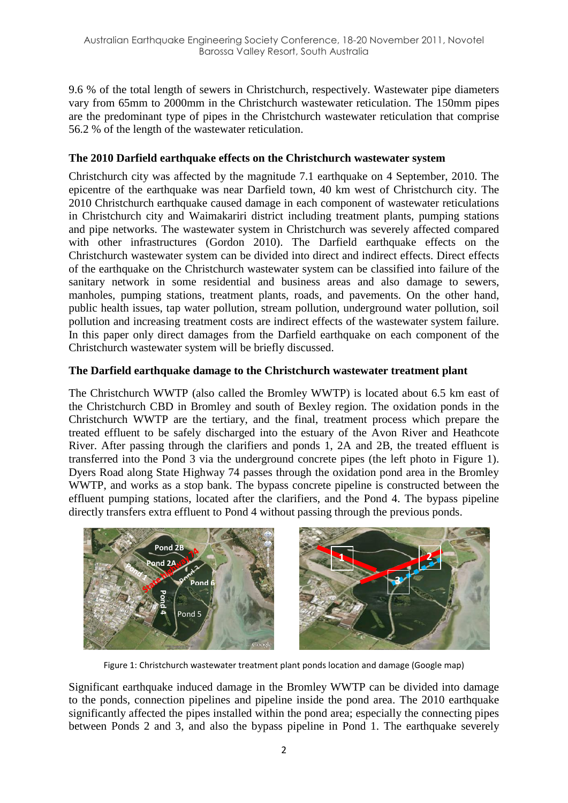9.6 % of the total length of sewers in Christchurch, respectively. Wastewater pipe diameters vary from 65mm to 2000mm in the Christchurch wastewater reticulation. The 150mm pipes are the predominant type of pipes in the Christchurch wastewater reticulation that comprise 56.2 % of the length of the wastewater reticulation.

## **The 2010 Darfield earthquake effects on the Christchurch wastewater system**

Christchurch city was affected by the magnitude 7.1 earthquake on 4 September, 2010. The epicentre of the earthquake was near Darfield town, 40 km west of Christchurch city. The 2010 Christchurch earthquake caused damage in each component of wastewater reticulations in Christchurch city and Waimakariri district including treatment plants, pumping stations and pipe networks. The wastewater system in Christchurch was severely affected compared with other infrastructures [\(Gordon 2010\)](#page-7-2). The Darfield earthquake effects on the Christchurch wastewater system can be divided into direct and indirect effects. Direct effects of the earthquake on the Christchurch wastewater system can be classified into failure of the sanitary network in some residential and business areas and also damage to sewers, manholes, pumping stations, treatment plants, roads, and pavements. On the other hand, public health issues, tap water pollution, stream pollution, underground water pollution, soil pollution and increasing treatment costs are indirect effects of the wastewater system failure. In this paper only direct damages from the Darfield earthquake on each component of the Christchurch wastewater system will be briefly discussed.

## **The Darfield earthquake damage to the Christchurch wastewater treatment plant**

The Christchurch WWTP (also called the Bromley WWTP) is located about 6.5 km east of the Christchurch CBD in Bromley and south of Bexley region. The oxidation ponds in the Christchurch WWTP are the tertiary, and the final, treatment process which prepare the treated effluent to be safely discharged into the estuary of the Avon River and Heathcote River. After passing through the clarifiers and ponds 1, 2A and 2B, the treated effluent is transferred into the Pond 3 via the underground concrete pipes (the left photo in Figure 1). Dyers Road along State Highway 74 passes through the oxidation pond area in the Bromley WWTP, and works as a stop bank. The bypass concrete pipeline is constructed between the effluent pumping stations, located after the clarifiers, and the Pond 4. The bypass pipeline directly transfers extra effluent to Pond 4 without passing through the previous ponds.



Figure 1: Christchurch wastewater treatment plant ponds location and damage (Google map)

Significant earthquake induced damage in the Bromley WWTP can be divided into damage to the ponds, connection pipelines and pipeline inside the pond area. The 2010 earthquake significantly affected the pipes installed within the pond area; especially the connecting pipes between Ponds 2 and 3, and also the bypass pipeline in Pond 1. The earthquake severely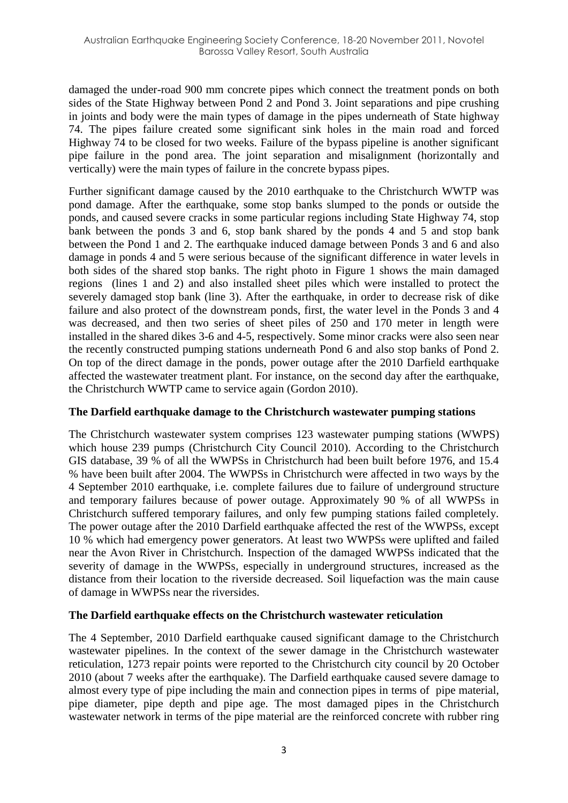damaged the under-road 900 mm concrete pipes which connect the treatment ponds on both sides of the State Highway between Pond 2 and Pond 3. Joint separations and pipe crushing in joints and body were the main types of damage in the pipes underneath of State highway 74. The pipes failure created some significant sink holes in the main road and forced Highway 74 to be closed for two weeks. Failure of the bypass pipeline is another significant pipe failure in the pond area. The joint separation and misalignment (horizontally and vertically) were the main types of failure in the concrete bypass pipes.

Further significant damage caused by the 2010 earthquake to the Christchurch WWTP was pond damage. After the earthquake, some stop banks slumped to the ponds or outside the ponds, and caused severe cracks in some particular regions including State Highway 74, stop bank between the ponds 3 and 6, stop bank shared by the ponds 4 and 5 and stop bank between the Pond 1 and 2. The earthquake induced damage between Ponds 3 and 6 and also damage in ponds 4 and 5 were serious because of the significant difference in water levels in both sides of the shared stop banks. The right photo in Figure 1 shows the main damaged regions (lines 1 and 2) and also installed sheet piles which were installed to protect the severely damaged stop bank (line 3). After the earthquake, in order to decrease risk of dike failure and also protect of the downstream ponds, first, the water level in the Ponds 3 and 4 was decreased, and then two series of sheet piles of 250 and 170 meter in length were installed in the shared dikes 3-6 and 4-5, respectively. Some minor cracks were also seen near the recently constructed pumping stations underneath Pond 6 and also stop banks of Pond 2. On top of the direct damage in the ponds, power outage after the 2010 Darfield earthquake affected the wastewater treatment plant. For instance, on the second day after the earthquake, the Christchurch WWTP came to service again [\(Gordon 2010\)](#page-7-2).

#### **The Darfield earthquake damage to the Christchurch wastewater pumping stations**

The Christchurch wastewater system comprises 123 wastewater pumping stations (WWPS) which house 239 pumps [\(Christchurch City Council 2010\)](#page-7-3). According to the Christchurch GIS database, 39 % of all the WWPSs in Christchurch had been built before 1976, and 15.4 % have been built after 2004. The WWPSs in Christchurch were affected in two ways by the 4 September 2010 earthquake, i.e. complete failures due to failure of underground structure and temporary failures because of power outage. Approximately 90 % of all WWPSs in Christchurch suffered temporary failures, and only few pumping stations failed completely. The power outage after the 2010 Darfield earthquake affected the rest of the WWPSs, except 10 % which had emergency power generators. At least two WWPSs were uplifted and failed near the Avon River in Christchurch. Inspection of the damaged WWPSs indicated that the severity of damage in the WWPSs, especially in underground structures, increased as the distance from their location to the riverside decreased. Soil liquefaction was the main cause of damage in WWPSs near the riversides.

#### **The Darfield earthquake effects on the Christchurch wastewater reticulation**

The 4 September, 2010 Darfield earthquake caused significant damage to the Christchurch wastewater pipelines. In the context of the sewer damage in the Christchurch wastewater reticulation, 1273 repair points were reported to the Christchurch city council by 20 October 2010 (about 7 weeks after the earthquake). The Darfield earthquake caused severe damage to almost every type of pipe including the main and connection pipes in terms of pipe material, pipe diameter, pipe depth and pipe age. The most damaged pipes in the Christchurch wastewater network in terms of the pipe material are the reinforced concrete with rubber ring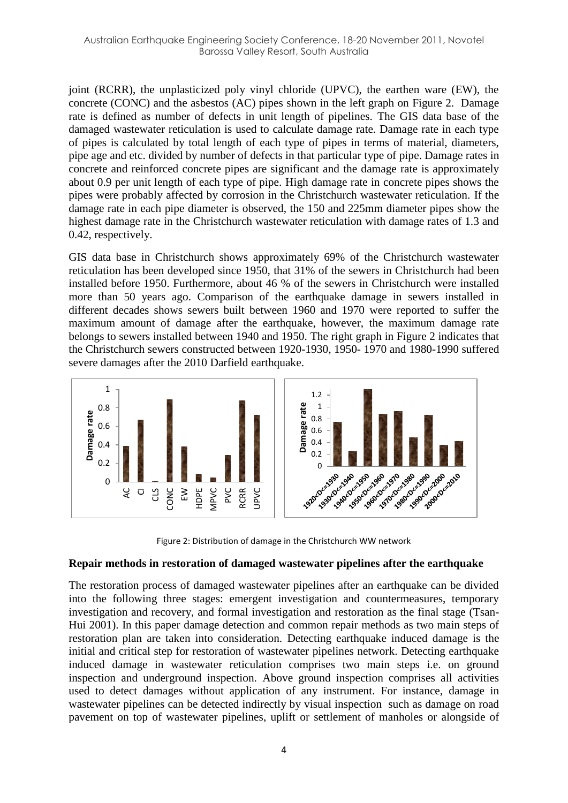joint (RCRR), the unplasticized poly vinyl chloride (UPVC), the earthen ware (EW), the concrete (CONC) and the asbestos (AC) pipes shown in the left graph on Figure 2. Damage rate is defined as number of defects in unit length of pipelines. The GIS data base of the damaged wastewater reticulation is used to calculate damage rate. Damage rate in each type of pipes is calculated by total length of each type of pipes in terms of material, diameters, pipe age and etc. divided by number of defects in that particular type of pipe. Damage rates in concrete and reinforced concrete pipes are significant and the damage rate is approximately about 0.9 per unit length of each type of pipe. High damage rate in concrete pipes shows the pipes were probably affected by corrosion in the Christchurch wastewater reticulation. If the damage rate in each pipe diameter is observed, the 150 and 225mm diameter pipes show the highest damage rate in the Christchurch wastewater reticulation with damage rates of 1.3 and 0.42, respectively.

GIS data base in Christchurch shows approximately 69% of the Christchurch wastewater reticulation has been developed since 1950, that 31% of the sewers in Christchurch had been installed before 1950. Furthermore, about 46 % of the sewers in Christchurch were installed more than 50 years ago. Comparison of the earthquake damage in sewers installed in different decades shows sewers built between 1960 and 1970 were reported to suffer the maximum amount of damage after the earthquake, however, the maximum damage rate belongs to sewers installed between 1940 and 1950. The right graph in Figure 2 indicates that the Christchurch sewers constructed between 1920-1930, 1950- 1970 and 1980-1990 suffered severe damages after the 2010 Darfield earthquake.



Figure 2: Distribution of damage in the Christchurch WW network

#### **Repair methods in restoration of damaged wastewater pipelines after the earthquake**

The restoration process of damaged wastewater pipelines after an earthquake can be divided into the following three stages: emergent investigation and countermeasures, temporary investigation and recovery, and formal investigation and restoration as the final stage [\(Tsan-](#page-7-4)[Hui 2001\)](#page-7-4). In this paper damage detection and common repair methods as two main steps of restoration plan are taken into consideration. Detecting earthquake induced damage is the initial and critical step for restoration of wastewater pipelines network. Detecting earthquake induced damage in wastewater reticulation comprises two main steps i.e. on ground inspection and underground inspection. Above ground inspection comprises all activities used to detect damages without application of any instrument. For instance, damage in wastewater pipelines can be detected indirectly by visual inspection such as damage on road pavement on top of wastewater pipelines, uplift or settlement of manholes or alongside of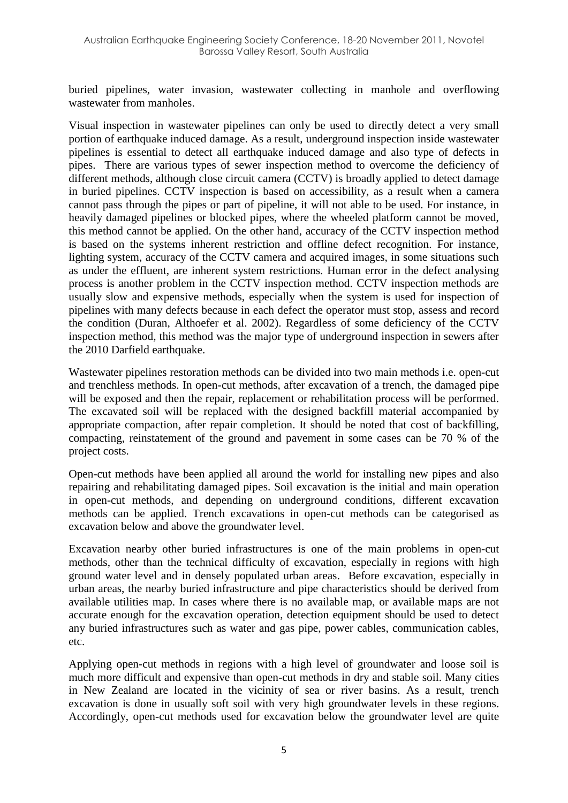buried pipelines, water invasion, wastewater collecting in manhole and overflowing wastewater from manholes.

Visual inspection in wastewater pipelines can only be used to directly detect a very small portion of earthquake induced damage. As a result, underground inspection inside wastewater pipelines is essential to detect all earthquake induced damage and also type of defects in pipes. There are various types of sewer inspection method to overcome the deficiency of different methods, although close circuit camera (CCTV) is broadly applied to detect damage in buried pipelines. CCTV inspection is based on accessibility, as a result when a camera cannot pass through the pipes or part of pipeline, it will not able to be used. For instance, in heavily damaged pipelines or blocked pipes, where the wheeled platform cannot be moved, this method cannot be applied. On the other hand, accuracy of the CCTV inspection method is based on the systems inherent restriction and offline defect recognition. For instance, lighting system, accuracy of the CCTV camera and acquired images, in some situations such as under the effluent, are inherent system restrictions. Human error in the defect analysing process is another problem in the CCTV inspection method. CCTV inspection methods are usually slow and expensive methods, especially when the system is used for inspection of pipelines with many defects because in each defect the operator must stop, assess and record the condition [\(Duran, Althoefer et al. 2002\)](#page-7-5). Regardless of some deficiency of the CCTV inspection method, this method was the major type of underground inspection in sewers after the 2010 Darfield earthquake.

Wastewater pipelines restoration methods can be divided into two main methods i.e. open-cut and trenchless methods. In open-cut methods, after excavation of a trench, the damaged pipe will be exposed and then the repair, replacement or rehabilitation process will be performed. The excavated soil will be replaced with the designed backfill material accompanied by appropriate compaction, after repair completion. It should be noted that cost of backfilling, compacting, reinstatement of the ground and pavement in some cases can be 70 % of the project costs.

Open-cut methods have been applied all around the world for installing new pipes and also repairing and rehabilitating damaged pipes. Soil excavation is the initial and main operation in open-cut methods, and depending on underground conditions, different excavation methods can be applied. Trench excavations in open-cut methods can be categorised as excavation below and above the groundwater level.

Excavation nearby other buried infrastructures is one of the main problems in open-cut methods, other than the technical difficulty of excavation, especially in regions with high ground water level and in densely populated urban areas. Before excavation, especially in urban areas, the nearby buried infrastructure and pipe characteristics should be derived from available utilities map. In cases where there is no available map, or available maps are not accurate enough for the excavation operation, detection equipment should be used to detect any buried infrastructures such as water and gas pipe, power cables, communication cables, etc.

Applying open-cut methods in regions with a high level of groundwater and loose soil is much more difficult and expensive than open-cut methods in dry and stable soil. Many cities in New Zealand are located in the vicinity of sea or river basins. As a result, trench excavation is done in usually soft soil with very high groundwater levels in these regions. Accordingly, open-cut methods used for excavation below the groundwater level are quite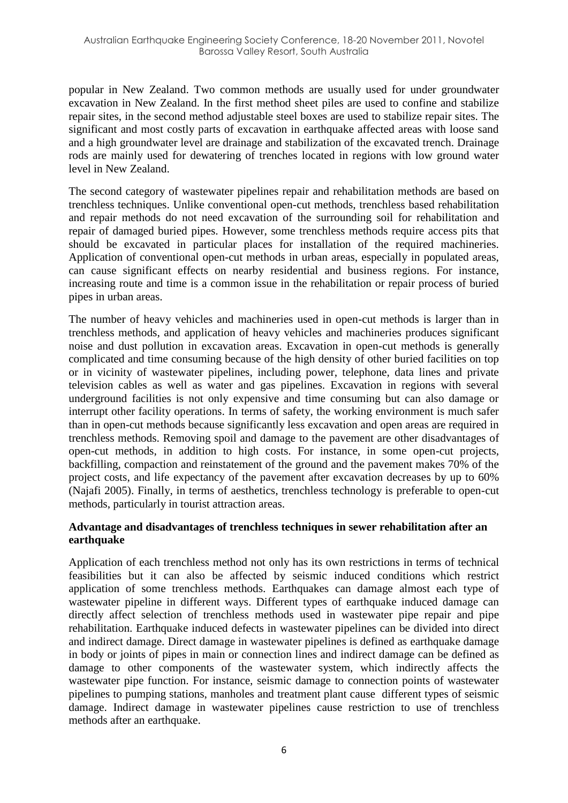popular in New Zealand. Two common methods are usually used for under groundwater excavation in New Zealand. In the first method sheet piles are used to confine and stabilize repair sites, in the second method adjustable steel boxes are used to stabilize repair sites. The significant and most costly parts of excavation in earthquake affected areas with loose sand and a high groundwater level are drainage and stabilization of the excavated trench. Drainage rods are mainly used for dewatering of trenches located in regions with low ground water level in New Zealand.

The second category of wastewater pipelines repair and rehabilitation methods are based on trenchless techniques. Unlike conventional open-cut methods, trenchless based rehabilitation and repair methods do not need excavation of the surrounding soil for rehabilitation and repair of damaged buried pipes. However, some trenchless methods require access pits that should be excavated in particular places for installation of the required machineries. Application of conventional open-cut methods in urban areas, especially in populated areas, can cause significant effects on nearby residential and business regions. For instance, increasing route and time is a common issue in the rehabilitation or repair process of buried pipes in urban areas.

The number of heavy vehicles and machineries used in open-cut methods is larger than in trenchless methods, and application of heavy vehicles and machineries produces significant noise and dust pollution in excavation areas. Excavation in open-cut methods is generally complicated and time consuming because of the high density of other buried facilities on top or in vicinity of wastewater pipelines, including power, telephone, data lines and private television cables as well as water and gas pipelines. Excavation in regions with several underground facilities is not only expensive and time consuming but can also damage or interrupt other facility operations. In terms of safety, the working environment is much safer than in open-cut methods because significantly less excavation and open areas are required in trenchless methods. Removing spoil and damage to the pavement are other disadvantages of open-cut methods, in addition to high costs. For instance, in some open-cut projects, backfilling, compaction and reinstatement of the ground and the pavement makes 70% of the project costs, and life expectancy of the pavement after excavation decreases by up to 60% [\(Najafi 2005\)](#page-7-6). Finally, in terms of aesthetics, trenchless technology is preferable to open-cut methods, particularly in tourist attraction areas.

#### **Advantage and disadvantages of trenchless techniques in sewer rehabilitation after an earthquake**

Application of each trenchless method not only has its own restrictions in terms of technical feasibilities but it can also be affected by seismic induced conditions which restrict application of some trenchless methods. Earthquakes can damage almost each type of wastewater pipeline in different ways. Different types of earthquake induced damage can directly affect selection of trenchless methods used in wastewater pipe repair and pipe rehabilitation. Earthquake induced defects in wastewater pipelines can be divided into direct and indirect damage. Direct damage in wastewater pipelines is defined as earthquake damage in body or joints of pipes in main or connection lines and indirect damage can be defined as damage to other components of the wastewater system, which indirectly affects the wastewater pipe function. For instance, seismic damage to connection points of wastewater pipelines to pumping stations, manholes and treatment plant cause different types of seismic damage. Indirect damage in wastewater pipelines cause restriction to use of trenchless methods after an earthquake.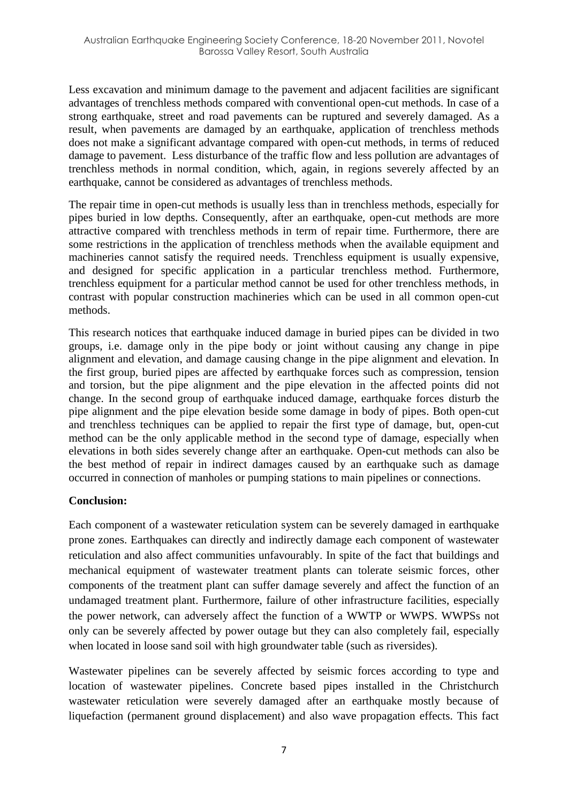Less excavation and minimum damage to the pavement and adjacent facilities are significant advantages of trenchless methods compared with conventional open-cut methods. In case of a strong earthquake, street and road pavements can be ruptured and severely damaged. As a result, when pavements are damaged by an earthquake, application of trenchless methods does not make a significant advantage compared with open-cut methods, in terms of reduced damage to pavement. Less disturbance of the traffic flow and less pollution are advantages of trenchless methods in normal condition, which, again, in regions severely affected by an earthquake, cannot be considered as advantages of trenchless methods.

The repair time in open-cut methods is usually less than in trenchless methods, especially for pipes buried in low depths. Consequently, after an earthquake, open-cut methods are more attractive compared with trenchless methods in term of repair time. Furthermore, there are some restrictions in the application of trenchless methods when the available equipment and machineries cannot satisfy the required needs. Trenchless equipment is usually expensive, and designed for specific application in a particular trenchless method. Furthermore, trenchless equipment for a particular method cannot be used for other trenchless methods, in contrast with popular construction machineries which can be used in all common open-cut methods.

This research notices that earthquake induced damage in buried pipes can be divided in two groups, i.e. damage only in the pipe body or joint without causing any change in pipe alignment and elevation, and damage causing change in the pipe alignment and elevation. In the first group, buried pipes are affected by earthquake forces such as compression, tension and torsion, but the pipe alignment and the pipe elevation in the affected points did not change. In the second group of earthquake induced damage, earthquake forces disturb the pipe alignment and the pipe elevation beside some damage in body of pipes. Both open-cut and trenchless techniques can be applied to repair the first type of damage, but, open-cut method can be the only applicable method in the second type of damage, especially when elevations in both sides severely change after an earthquake. Open-cut methods can also be the best method of repair in indirect damages caused by an earthquake such as damage occurred in connection of manholes or pumping stations to main pipelines or connections.

#### **Conclusion:**

Each component of a wastewater reticulation system can be severely damaged in earthquake prone zones. Earthquakes can directly and indirectly damage each component of wastewater reticulation and also affect communities unfavourably. In spite of the fact that buildings and mechanical equipment of wastewater treatment plants can tolerate seismic forces, other components of the treatment plant can suffer damage severely and affect the function of an undamaged treatment plant. Furthermore, failure of other infrastructure facilities, especially the power network, can adversely affect the function of a WWTP or WWPS. WWPSs not only can be severely affected by power outage but they can also completely fail, especially when located in loose sand soil with high groundwater table (such as riversides).

Wastewater pipelines can be severely affected by seismic forces according to type and location of wastewater pipelines. Concrete based pipes installed in the Christchurch wastewater reticulation were severely damaged after an earthquake mostly because of liquefaction (permanent ground displacement) and also wave propagation effects. This fact